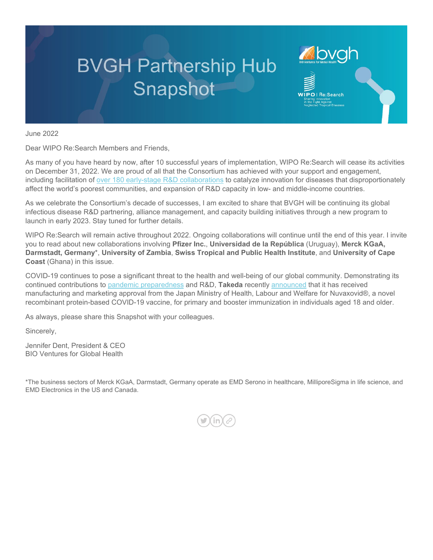# **BVGH Partnership Hub** Snapshot

June 2022

Dear WIPO Re:Search Members and Friends,

As many of you have heard by now, after 10 successful years of implementation, WIPO Re:Search will cease its activities on December 31, 2022. We are proud of all that the Consortium has achieved with your support and engagement, including facilitation of [over 180 early-stage R&D collaborations](https://bvgh.org/wp-content/uploads/2022/06/Agreements_in_Place-June-7-2022.pdf) to catalyze innovation for diseases that disproportionately affect the world's poorest communities, and expansion of R&D capacity in low- and middle-income countries.

**AND VENTURE TO Global Health** 

**IPO** | Re:Search

As we celebrate the Consortium's decade of successes, I am excited to share that BVGH will be continuing its global infectious disease R&D partnering, alliance management, and capacity building initiatives through a new program to launch in early 2023. Stay tuned for further details.

WIPO Re:Search will remain active throughout 2022. Ongoing collaborations will continue until the end of this year. I invite you to read about new collaborations involving **Pfizer Inc.**, **Universidad de la República** (Uruguay), **Merck KGaA, Darmstadt, Germany**\*, **University of Zambia**, **Swiss Tropical and Public Health Institute**, and **University of Cape Coast** (Ghana) in this issue.

COVID-19 continues to pose a significant threat to the health and well-being of our global community. Demonstrating its continued contributions to [pandemic preparedness](https://www.takeda.com/newsroom/featured-topics/luck-is-not-a-strategy-the-world-needs-to-start-preparing-now-for-the-next-pandemic/) and R&D, **Takeda** recently [announced](https://urldefense.com/v3/__https:/www.takedavaccines.com/news/release/takeda-announces-approval-of-nuvaxovid-covid-19-vaccine-for-primary-and-booster-immunization-in-japan/__;!!KDurfCY!9GtP6U61pu-xQFk3jr_ikEJDoTrWrgnC0khrfR97q6dBANW_Wvgp8HAIkhNpnh2Lkzde9ZT-gPG17fCVT3yH$) that it has received manufacturing and marketing approval from the Japan Ministry of Health, Labour and Welfare for Nuvaxovid®, a novel recombinant protein-based COVID-19 vaccine, for primary and booster immunization in individuals aged 18 and older.

As always, please share this Snapshot with your colleagues.

Sincerely,

Jennifer Dent, President & CEO BIO Ventures for Global Health

\*The business sectors of Merck KGaA, Darmstadt, Germany operate as EMD Serono in healthcare, MilliporeSigma in life science, and EMD Electronics in the US and Canada.

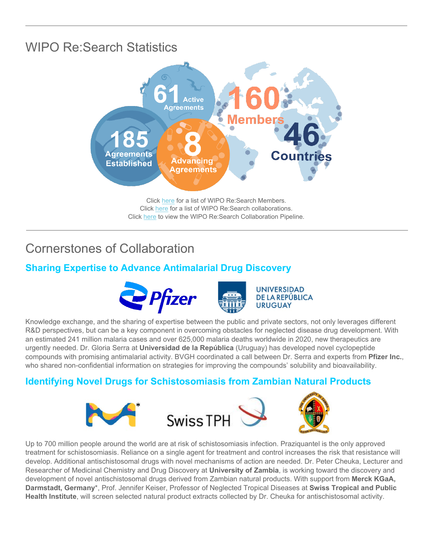# WIPO Re:Search Statistics



Click [here](https://bvgh.org/wp-content/uploads/2022/02/WIPO-ReSearch-Member-List-2-3-22.pdf) for a list of WIPO Re:Search Members. Click [here](https://bvgh.org/wp-content/uploads/2022/06/Agreements_in_Place-June-7-2022.pdf) for a list of WIPO Re:Search collaborations. Click [here](https://bvgh.org/wp-content/uploads/2022/06/WIPO-ReSearch-Pipeline-5-27-22.pdf) to view the WIPO Re:Search Collaboration Pipeline.

## Cornerstones of Collaboration

## **Sharing Expertise to Advance Antimalarial Drug Discovery**





**UNIVERSIDAD** DE LA REPÚBLICA **URUGUAY** 

Knowledge exchange, and the sharing of expertise between the public and private sectors, not only leverages different R&D perspectives, but can be a key component in overcoming obstacles for neglected disease drug development. With an estimated 241 million malaria cases and over 625,000 malaria deaths worldwide in 2020, new therapeutics are urgently needed. Dr. Gloria Serra at **Universidad de la República** (Uruguay) has developed novel cyclopeptide compounds with promising antimalarial activity. BVGH coordinated a call between Dr. Serra and experts from **Pfizer Inc.**, who shared non-confidential information on strategies for improving the compounds' solubility and bioavailability.

## **Identifying Novel Drugs for Schistosomiasis from Zambian Natural Products**



Up to 700 million people around the world are at risk of schistosomiasis infection. Praziquantel is the only approved treatment for schistosomiasis. Reliance on a single agent for treatment and control increases the risk that resistance will develop. Additional antischistosomal drugs with novel mechanisms of action are needed. Dr. Peter Cheuka, Lecturer and Researcher of Medicinal Chemistry and Drug Discovery at **University of Zambia**, is working toward the discovery and development of novel antischistosomal drugs derived from Zambian natural products. With support from **Merck KGaA, Darmstadt, Germany**\*, Prof. Jennifer Keiser, Professor of Neglected Tropical Diseases at **Swiss Tropical and Public Health Institute**, will screen selected natural product extracts collected by Dr. Cheuka for antischistosomal activity.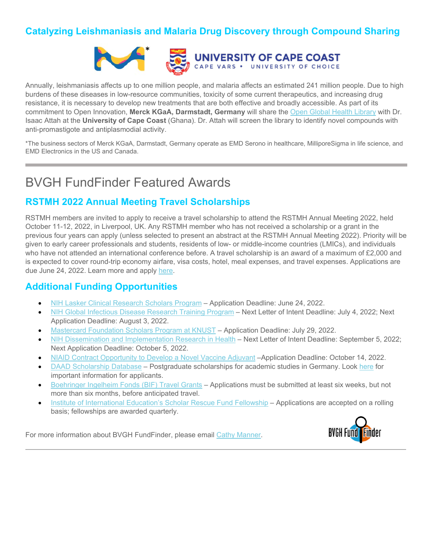## **Catalyzing Leishmaniasis and Malaria Drug Discovery through Compound Sharing**



Annually, leishmaniasis affects up to one million people, and malaria affects an estimated 241 million people. Due to high burdens of these diseases in low-resource communities, toxicity of some current therapeutics, and increasing drug resistance, it is necessary to develop new treatments that are both effective and broadly accessible. As part of its commitment to Open Innovation, **Merck KGaA, Darmstadt, Germany** will share the [Open Global Health Library](https://www.emdgroup.com/en/research/open-innovation/biopharma-open-innovation-portal/open-global-health-library.html) with Dr. Isaac Attah at the **University of Cape Coast** (Ghana). Dr. Attah will screen the library to identify novel compounds with anti-promastigote and antiplasmodial activity.

\*The business sectors of Merck KGaA, Darmstadt, Germany operate as EMD Serono in healthcare, MilliporeSigma in life science, and EMD Electronics in the US and Canada.

## BVGH FundFinder Featured Awards

#### **RSTMH 2022 Annual Meeting Travel Scholarships**

RSTMH members are invited to apply to receive a travel scholarship to attend the RSTMH Annual Meeting 2022, held October 11-12, 2022, in Liverpool, UK. Any RSTMH member who has not received a scholarship or a grant in the previous four years can apply (unless selected to present an abstract at the RSTMH Annual Meeting 2022). Priority will be given to early career professionals and students, residents of low- or middle-income countries (LMICs), and individuals who have not attended an international conference before. A travel scholarship is an award of a maximum of £2,000 and is expected to cover round-trip economy airfare, visa costs, hotel, meal expenses, and travel expenses. Applications are due June 24, 2022. Learn more and apply [here.](https://rstmh.submittable.com/submit/226449/rstmh-annual-meeting-2022-travel-scholarships)

#### **Additional Funding Opportunities**

- [NIH Lasker Clinical Research Scholars Program](https://grants.nih.gov/grants/guide/pa-files/PAR-22-078.html?utm_campaign=+50835431&utm_content=&utm_medium=email&utm_source=govdelivery&utm_term=) Application Deadline: June 24, 2022.
- [NIH Global Infectious Disease Research Training Program](https://grants.nih.gov/grants/guide/pa-files/PAR-20-229.html) Next Letter of Intent Deadline: July 4, 2022; Next Application Deadline: August 3, 2022.
- [Mastercard Foundation Scholars Program at KNUST](https://mcf.knust.edu.gh/announcements/general/call-applications-mastercard-foundation-scholarship-20222023-academic-year?utm_source=RUFORUM+Mailing+List&utm_campaign=42c622c8c1-RUFORUM+Weekly+-+Vol.3+No.25_COPY_01&utm_medium=email&utm_term=0_1fcfbb8a0b-42c622c8c1-346967869&ct=t()&goal=0_1fcfbb8a0b-42c622c8c1-346967869&mc_cid=42c622c8c1&mc_eid=54bae529c1&org=1545&lvl=100&ite=1250&lea=82712&ctr=0&par=1&trk=a3k5a000005SwUEAA0) Application Deadline: July 29, 2022.
- [NIH Dissemination and Implementation Research in Health](https://grants.nih.gov/grants/guide/pa-files/PAR-22-105.html?utm_campaign=+51865294&utm_content=&utm_medium=email&utm_source=govdelivery&utm_term=) Next Letter of Intent Deadline: September 5, 2022; Next Application Deadline: October 5, 2022.
- [NIAID Contract Opportunity to Develop a Novel Vaccine Adjuvant](https://www.niaid.nih.gov/diseases-conditions/develop-novel-vaccine-adjuvant-under-niaid-contract?utm_campaign=+51796257&utm_content=&utm_medium=email&utm_source=govdelivery&utm_term=) –Application Deadline: October 14, 2022.
- [DAAD Scholarship Database](https://www2.daad.de/deutschland/stipendium/datenbank/en/21148-scholarship-database/?detail=50026200&org=1545&lvl=100&ite=1144&lea=75322&ctr=0&par=1&trk=a3k5a0000054QLxAAM) Postgraduate scholarships for academic studies in Germany. Look [here](https://www.daad.de/en/study-and-research-in-germany/scholarships/important-information-for-scholarship-applicants/) for important information for applicants.
- [Boehringer Ingelheim Fonds \(BIF\) Travel Grants](https://www.bifonds.de/fellowships-grants/travel-grants/what-we-offer-tg.html) Applications must be submitted at least six weeks, but not more than six months, before anticipated travel.
- [Institute of International Education's Scholar Rescue Fund Fellowship](https://www.scholarrescuefund.org/for-scholars/?org=1545&lvl=100&ite=1236&lea=82712&ctr=0&par=1&trk=a3k5a000005PqaOAAS) Applications are accepted on a rolling basis; fellowships are awarded quarterly.

For more information about BVGH FundFinder, please email [Cathy Manner.](mailto:cmanner@bvgh.org)